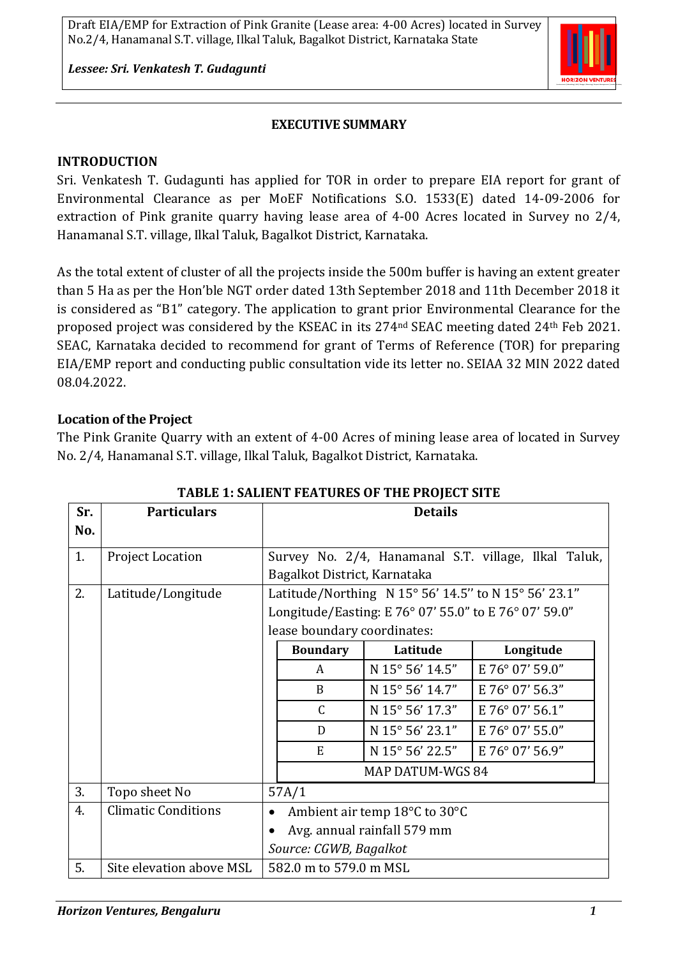*Lessee: Sri. Venkatesh T. Gudagunti*

### **EXECUTIVE SUMMARY**

#### **INTRODUCTION**

Sri. Venkatesh T. Gudagunti has applied for TOR in order to prepare EIA report for grant of Environmental Clearance as per MoEF Notifications S.O. 1533(E) dated 14-09-2006 for extraction of Pink granite quarry having lease area of 4-00 Acres located in Survey no 2/4, Hanamanal S.T. village, Ilkal Taluk, Bagalkot District, Karnataka.

As the total extent of cluster of all the projects inside the 500m buffer is having an extent greater than 5 Ha as per the Hon'ble NGT order dated 13th September 2018 and 11th December 2018 it is considered as "B1" category. The application to grant prior Environmental Clearance for the proposed project was considered by the KSEAC in its 274nd SEAC meeting dated 24th Feb 2021. SEAC, Karnataka decided to recommend for grant of Terms of Reference (TOR) for preparing EIA/EMP report and conducting public consultation vide its letter no. SEIAA 32 MIN 2022 dated 08.04.2022.

#### **Location of the Project**

The Pink Granite Quarry with an extent of 4-00 Acres of mining lease area of located in Survey No. 2/4, Hanamanal S.T. village, Ilkal Taluk, Bagalkot District, Karnataka.

|     | плыш т. элышл тыптолы от тишт лојцог этгш |                                                       |                  |                 |                 |  |  |  |  |
|-----|-------------------------------------------|-------------------------------------------------------|------------------|-----------------|-----------------|--|--|--|--|
| Sr. | <b>Particulars</b>                        |                                                       | <b>Details</b>   |                 |                 |  |  |  |  |
| No. |                                           |                                                       |                  |                 |                 |  |  |  |  |
| 1.  | <b>Project Location</b>                   | Survey No. 2/4, Hanamanal S.T. village, Ilkal Taluk,  |                  |                 |                 |  |  |  |  |
|     |                                           | Bagalkot District, Karnataka                          |                  |                 |                 |  |  |  |  |
| 2.  | Latitude/Longitude                        | Latitude/Northing N 15° 56' 14.5" to N 15° 56' 23.1"  |                  |                 |                 |  |  |  |  |
|     |                                           | Longitude/Easting: E 76° 07' 55.0" to E 76° 07' 59.0" |                  |                 |                 |  |  |  |  |
|     |                                           | lease boundary coordinates:                           |                  |                 |                 |  |  |  |  |
|     |                                           |                                                       | <b>Boundary</b>  | Latitude        | Longitude       |  |  |  |  |
|     |                                           |                                                       | A                | N 15° 56' 14.5" | E 76° 07' 59.0" |  |  |  |  |
|     |                                           |                                                       | B                | N 15° 56' 14.7" | E 76° 07' 56.3" |  |  |  |  |
|     |                                           |                                                       | $\mathcal{C}$    | N 15° 56' 17.3" | E 76° 07' 56.1" |  |  |  |  |
|     |                                           |                                                       | D                | N 15° 56' 23.1" | E 76° 07' 55.0" |  |  |  |  |
|     |                                           |                                                       | E                | N 15° 56' 22.5" | E 76° 07' 56.9" |  |  |  |  |
|     |                                           |                                                       | MAP DATUM-WGS 84 |                 |                 |  |  |  |  |
| 3.  | Topo sheet No                             |                                                       | 57A/1            |                 |                 |  |  |  |  |
| 4.  | <b>Climatic Conditions</b>                | Ambient air temp 18°C to 30°C<br>$\bullet$            |                  |                 |                 |  |  |  |  |
|     |                                           | Avg. annual rainfall 579 mm                           |                  |                 |                 |  |  |  |  |
|     |                                           | Source: CGWB, Bagalkot                                |                  |                 |                 |  |  |  |  |
| 5.  | Site elevation above MSL                  | 582.0 m to 579.0 m MSL                                |                  |                 |                 |  |  |  |  |

#### **TABLE 1: SALIENT FEATURES OF THE PROJECT SITE**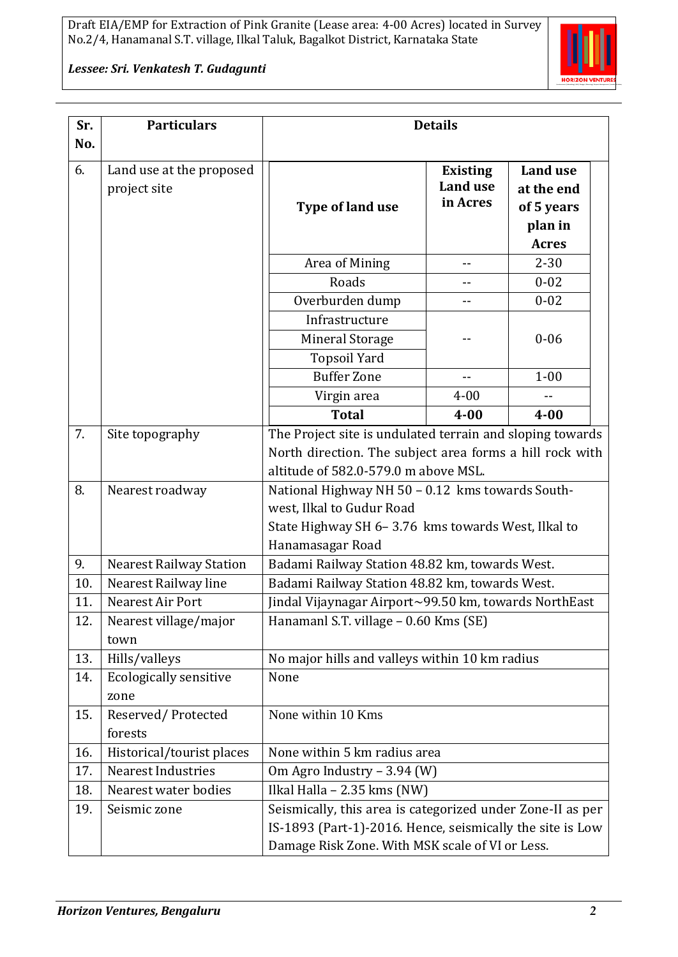

*Lessee: Sri. Venkatesh T. Gudagunti*

| Sr.<br>No. | <b>Particulars</b>                       | <b>Details</b>                                                                                                                                                |                                                |                                                                        |  |  |
|------------|------------------------------------------|---------------------------------------------------------------------------------------------------------------------------------------------------------------|------------------------------------------------|------------------------------------------------------------------------|--|--|
| 6.         | Land use at the proposed<br>project site | Type of land use                                                                                                                                              | <b>Existing</b><br><b>Land use</b><br>in Acres | <b>Land use</b><br>at the end<br>of 5 years<br>plan in<br><b>Acres</b> |  |  |
|            |                                          | Area of Mining                                                                                                                                                | $-1$                                           | $2 - 30$                                                               |  |  |
|            |                                          | Roads                                                                                                                                                         |                                                | $0 - 02$                                                               |  |  |
|            |                                          | Overburden dump                                                                                                                                               | $-$                                            | $0 - 02$                                                               |  |  |
|            |                                          | Infrastructure                                                                                                                                                |                                                |                                                                        |  |  |
|            |                                          | Mineral Storage                                                                                                                                               |                                                | $0 - 06$                                                               |  |  |
|            |                                          | <b>Topsoil Yard</b>                                                                                                                                           |                                                |                                                                        |  |  |
|            |                                          | <b>Buffer Zone</b>                                                                                                                                            | $-$                                            | $1 - 00$                                                               |  |  |
|            |                                          | Virgin area                                                                                                                                                   | $4 - 00$                                       |                                                                        |  |  |
|            |                                          | <b>Total</b>                                                                                                                                                  | $4 - 00$                                       | $4 - 00$                                                               |  |  |
| 7.         | Site topography                          | The Project site is undulated terrain and sloping towards<br>North direction. The subject area forms a hill rock with<br>altitude of 582.0-579.0 m above MSL. |                                                |                                                                        |  |  |
|            |                                          |                                                                                                                                                               |                                                |                                                                        |  |  |
| 8.         | Nearest roadway                          | National Highway NH 50 - 0.12 kms towards South-<br>west, Ilkal to Gudur Road<br>State Highway SH 6-3.76 kms towards West, Ilkal to<br>Hanamasagar Road       |                                                |                                                                        |  |  |
| 9.         | <b>Nearest Railway Station</b>           | Badami Railway Station 48.82 km, towards West.                                                                                                                |                                                |                                                                        |  |  |
| 10.        | Nearest Railway line                     | Badami Railway Station 48.82 km, towards West.                                                                                                                |                                                |                                                                        |  |  |
| 11.        | Nearest Air Port                         | Jindal Vijaynagar Airport~99.50 km, towards NorthEast                                                                                                         |                                                |                                                                        |  |  |
| 12.        | Nearest village/major<br>town            | Hanamanl S.T. village - 0.60 Kms (SE)                                                                                                                         |                                                |                                                                        |  |  |
| 13.        | Hills/valleys                            | No major hills and valleys within 10 km radius                                                                                                                |                                                |                                                                        |  |  |
| 14.        | Ecologically sensitive<br>zone           | None                                                                                                                                                          |                                                |                                                                        |  |  |
| 15.        | Reserved/Protected<br>forests            | None within 10 Kms                                                                                                                                            |                                                |                                                                        |  |  |
| 16.        | Historical/tourist places                | None within 5 km radius area                                                                                                                                  |                                                |                                                                        |  |  |
| 17.        | <b>Nearest Industries</b>                | Om Agro Industry – 3.94 (W)                                                                                                                                   |                                                |                                                                        |  |  |
| 18.        | Nearest water bodies                     | Ilkal Halla - $2.35$ kms (NW)                                                                                                                                 |                                                |                                                                        |  |  |
| 19.        | Seismic zone                             | Seismically, this area is categorized under Zone-II as per                                                                                                    |                                                |                                                                        |  |  |
|            |                                          | IS-1893 (Part-1)-2016. Hence, seismically the site is Low                                                                                                     |                                                |                                                                        |  |  |
|            |                                          | Damage Risk Zone. With MSK scale of VI or Less.                                                                                                               |                                                |                                                                        |  |  |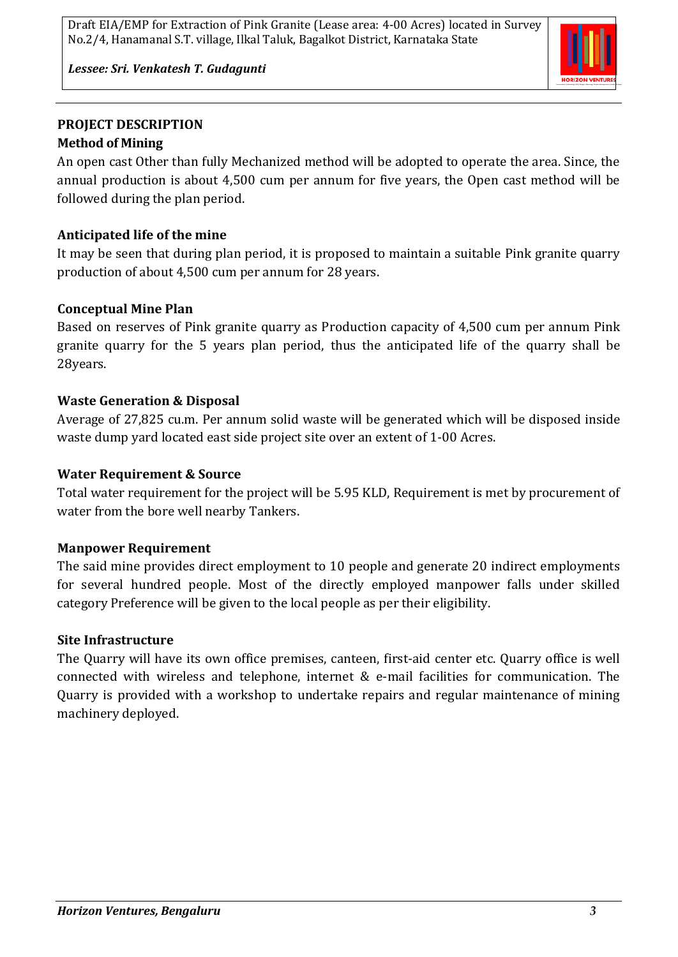

*Lessee: Sri. Venkatesh T. Gudagunti*

## **PROJECT DESCRIPTION Method of Mining**

An open cast Other than fully Mechanized method will be adopted to operate the area. Since, the annual production is about 4,500 cum per annum for five years, the Open cast method will be followed during the plan period.

# **Anticipated life of the mine**

It may be seen that during plan period, it is proposed to maintain a suitable Pink granite quarry production of about 4,500 cum per annum for 28 years.

# **Conceptual Mine Plan**

Based on reserves of Pink granite quarry as Production capacity of 4,500 cum per annum Pink granite quarry for the 5 years plan period, thus the anticipated life of the quarry shall be 28years.

# **Waste Generation & Disposal**

Average of 27,825 cu.m. Per annum solid waste will be generated which will be disposed inside waste dump yard located east side project site over an extent of 1-00 Acres.

## **Water Requirement & Source**

Total water requirement for the project will be 5.95 KLD, Requirement is met by procurement of water from the bore well nearby Tankers.

# **Manpower Requirement**

The said mine provides direct employment to 10 people and generate 20 indirect employments for several hundred people. Most of the directly employed manpower falls under skilled category Preference will be given to the local people as per their eligibility.

# **Site Infrastructure**

The Quarry will have its own office premises, canteen, first-aid center etc. Quarry office is well connected with wireless and telephone, internet & e-mail facilities for communication. The Quarry is provided with a workshop to undertake repairs and regular maintenance of mining machinery deployed.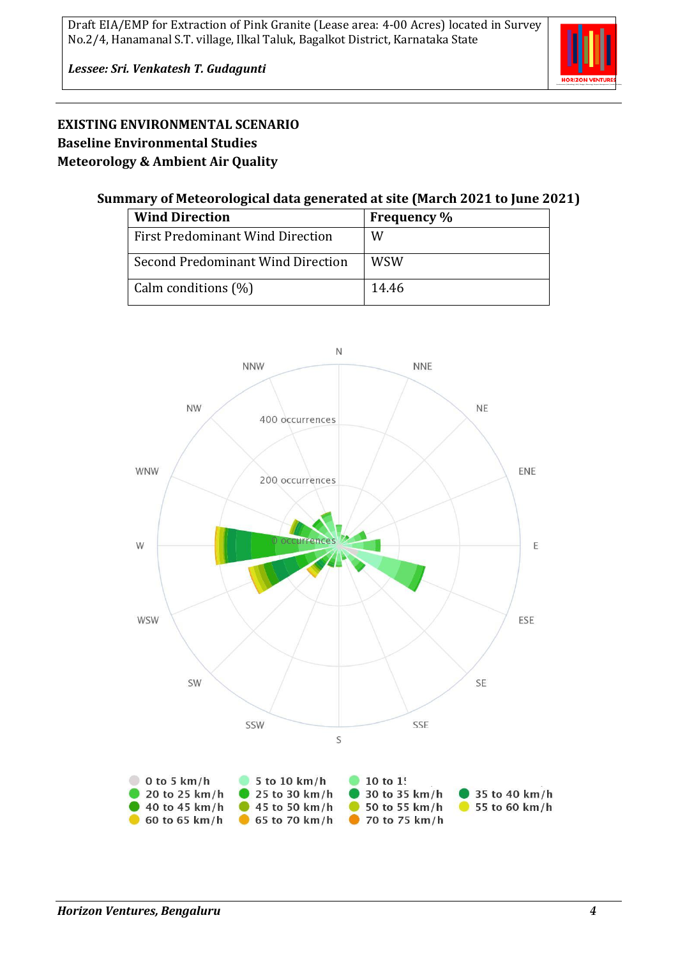

*Lessee: Sri. Venkatesh T. Gudagunti*

## **EXISTING ENVIRONMENTAL SCENARIO Baseline Environmental Studies Meteorology & Ambient Air Quality**

#### **Summary of Meteorological data generated at site (March 2021 to June 2021)**

| <b>Wind Direction</b>                   | <b>Frequency</b> % |
|-----------------------------------------|--------------------|
| <b>First Predominant Wind Direction</b> | W                  |
| Second Predominant Wind Direction       | WSW                |
| Calm conditions (%)                     | 14.46              |

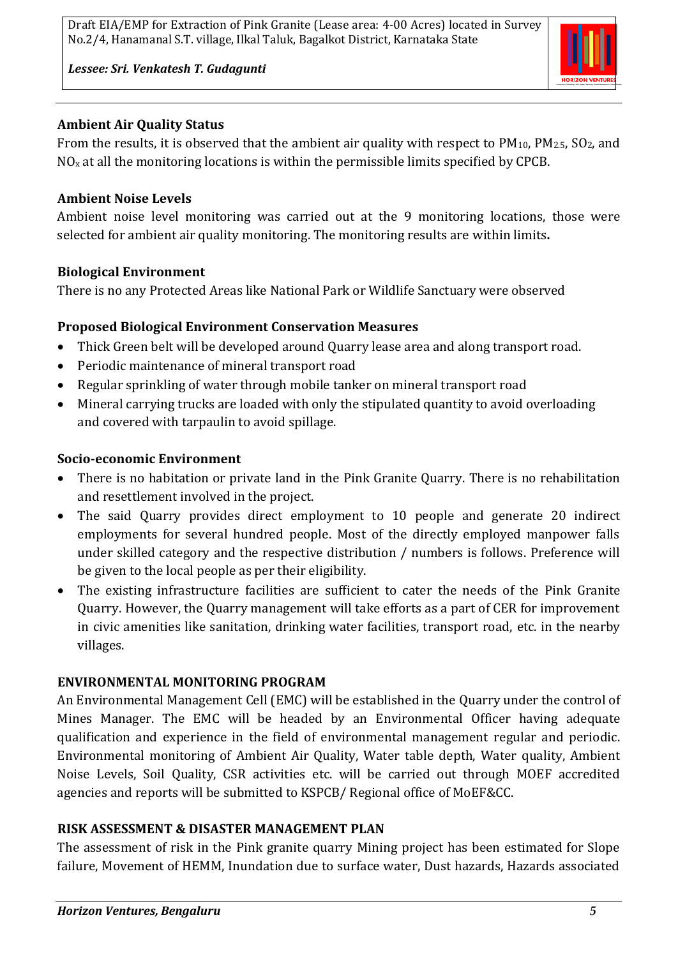

*Lessee: Sri. Venkatesh T. Gudagunti*

### **Ambient Air Quality Status**

From the results, it is observed that the ambient air quality with respect to  $PM_{10}$ ,  $PM_{2.5}$ ,  $SO_2$ , and  $NO<sub>x</sub>$  at all the monitoring locations is within the permissible limits specified by CPCB.

### **Ambient Noise Levels**

Ambient noise level monitoring was carried out at the 9 monitoring locations, those were selected for ambient air quality monitoring. The monitoring results are within limits**.**

#### **Biological Environment**

There is no any Protected Areas like National Park or Wildlife Sanctuary were observed

#### **Proposed Biological Environment Conservation Measures**

- Thick Green belt will be developed around Quarry lease area and along transport road.
- Periodic maintenance of mineral transport road
- Regular sprinkling of water through mobile tanker on mineral transport road
- Mineral carrying trucks are loaded with only the stipulated quantity to avoid overloading and covered with tarpaulin to avoid spillage.

#### **Socio-economic Environment**

- There is no habitation or private land in the Pink Granite Quarry. There is no rehabilitation and resettlement involved in the project.
- The said Quarry provides direct employment to 10 people and generate 20 indirect employments for several hundred people. Most of the directly employed manpower falls under skilled category and the respective distribution / numbers is follows. Preference will be given to the local people as per their eligibility.
- The existing infrastructure facilities are sufficient to cater the needs of the Pink Granite Quarry. However, the Quarry management will take efforts as a part of CER for improvement in civic amenities like sanitation, drinking water facilities, transport road, etc. in the nearby villages.

#### **ENVIRONMENTAL MONITORING PROGRAM**

An Environmental Management Cell (EMC) will be established in the Quarry under the control of Mines Manager. The EMC will be headed by an Environmental Officer having adequate qualification and experience in the field of environmental management regular and periodic. Environmental monitoring of Ambient Air Quality, Water table depth, Water quality, Ambient Noise Levels, Soil Quality, CSR activities etc. will be carried out through MOEF accredited agencies and reports will be submitted to KSPCB/ Regional office of MoEF&CC.

## **RISK ASSESSMENT & DISASTER MANAGEMENT PLAN**

The assessment of risk in the Pink granite quarry Mining project has been estimated for Slope failure, Movement of HEMM, Inundation due to surface water, Dust hazards, Hazards associated